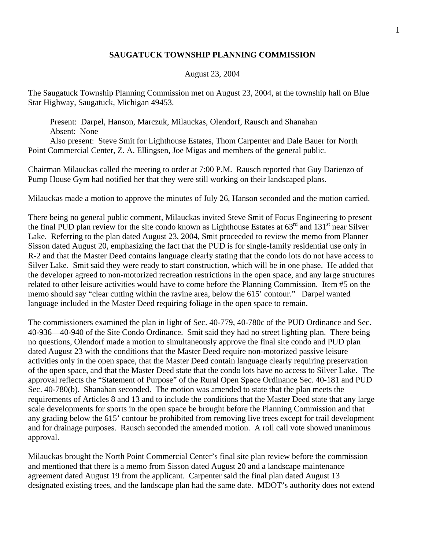## **SAUGATUCK TOWNSHIP PLANNING COMMISSION**

## August 23, 2004

The Saugatuck Township Planning Commission met on August 23, 2004, at the township hall on Blue Star Highway, Saugatuck, Michigan 49453.

 Present: Darpel, Hanson, Marczuk, Milauckas, Olendorf, Rausch and Shanahan Absent: None Also present: Steve Smit for Lighthouse Estates, Thom Carpenter and Dale Bauer for North Point Commercial Center, Z. A. Ellingsen, Joe Migas and members of the general public.

Chairman Milauckas called the meeting to order at 7:00 P.M. Rausch reported that Guy Darienzo of Pump House Gym had notified her that they were still working on their landscaped plans.

Milauckas made a motion to approve the minutes of July 26, Hanson seconded and the motion carried.

There being no general public comment, Milauckas invited Steve Smit of Focus Engineering to present the final PUD plan review for the site condo known as Lighthouse Estates at  $63<sup>rd</sup>$  and  $131<sup>st</sup>$  near Silver Lake. Referring to the plan dated August 23, 2004, Smit proceeded to review the memo from Planner Sisson dated August 20, emphasizing the fact that the PUD is for single-family residential use only in R-2 and that the Master Deed contains language clearly stating that the condo lots do not have access to Silver Lake. Smit said they were ready to start construction, which will be in one phase. He added that the developer agreed to non-motorized recreation restrictions in the open space, and any large structures related to other leisure activities would have to come before the Planning Commission. Item #5 on the memo should say "clear cutting within the ravine area, below the 615' contour." Darpel wanted language included in the Master Deed requiring foliage in the open space to remain.

The commissioners examined the plan in light of Sec. 40-779, 40-780c of the PUD Ordinance and Sec. 40-936—40-940 of the Site Condo Ordinance. Smit said they had no street lighting plan. There being no questions, Olendorf made a motion to simultaneously approve the final site condo and PUD plan dated August 23 with the conditions that the Master Deed require non-motorized passive leisure activities only in the open space, that the Master Deed contain language clearly requiring preservation of the open space, and that the Master Deed state that the condo lots have no access to Silver Lake. The approval reflects the "Statement of Purpose" of the Rural Open Space Ordinance Sec. 40-181 and PUD Sec. 40-780(b). Shanahan seconded. The motion was amended to state that the plan meets the requirements of Articles 8 and 13 and to include the conditions that the Master Deed state that any large scale developments for sports in the open space be brought before the Planning Commission and that any grading below the 615' contour be prohibited from removing live trees except for trail development and for drainage purposes. Rausch seconded the amended motion. A roll call vote showed unanimous approval.

Milauckas brought the North Point Commercial Center's final site plan review before the commission and mentioned that there is a memo from Sisson dated August 20 and a landscape maintenance agreement dated August 19 from the applicant. Carpenter said the final plan dated August 13 designated existing trees, and the landscape plan had the same date. MDOT's authority does not extend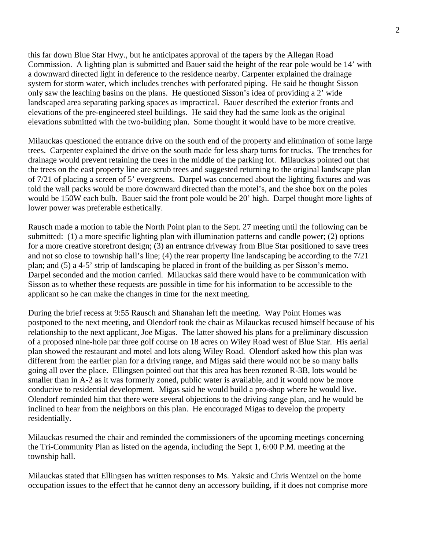this far down Blue Star Hwy., but he anticipates approval of the tapers by the Allegan Road Commission. A lighting plan is submitted and Bauer said the height of the rear pole would be 14' with a downward directed light in deference to the residence nearby. Carpenter explained the drainage system for storm water, which includes trenches with perforated piping. He said he thought Sisson only saw the leaching basins on the plans. He questioned Sisson's idea of providing a 2' wide landscaped area separating parking spaces as impractical. Bauer described the exterior fronts and elevations of the pre-engineered steel buildings. He said they had the same look as the original elevations submitted with the two-building plan. Some thought it would have to be more creative.

Milauckas questioned the entrance drive on the south end of the property and elimination of some large trees. Carpenter explained the drive on the south made for less sharp turns for trucks. The trenches for drainage would prevent retaining the trees in the middle of the parking lot. Milauckas pointed out that the trees on the east property line are scrub trees and suggested returning to the original landscape plan of 7/21 of placing a screen of 5' evergreens. Darpel was concerned about the lighting fixtures and was told the wall packs would be more downward directed than the motel's, and the shoe box on the poles would be 150W each bulb. Bauer said the front pole would be 20' high. Darpel thought more lights of lower power was preferable esthetically.

Rausch made a motion to table the North Point plan to the Sept. 27 meeting until the following can be submitted: (1) a more specific lighting plan with illumination patterns and candle power; (2) options for a more creative storefront design; (3) an entrance driveway from Blue Star positioned to save trees and not so close to township hall's line; (4) the rear property line landscaping be according to the 7/21 plan; and (5) a 4-5' strip of landscaping be placed in front of the building as per Sisson's memo. Darpel seconded and the motion carried. Milauckas said there would have to be communication with Sisson as to whether these requests are possible in time for his information to be accessible to the applicant so he can make the changes in time for the next meeting.

During the brief recess at 9:55 Rausch and Shanahan left the meeting. Way Point Homes was postponed to the next meeting, and Olendorf took the chair as Milauckas recused himself because of his relationship to the next applicant, Joe Migas. The latter showed his plans for a preliminary discussion of a proposed nine-hole par three golf course on 18 acres on Wiley Road west of Blue Star. His aerial plan showed the restaurant and motel and lots along Wiley Road. Olendorf asked how this plan was different from the earlier plan for a driving range, and Migas said there would not be so many balls going all over the place. Ellingsen pointed out that this area has been rezoned R-3B, lots would be smaller than in A-2 as it was formerly zoned, public water is available, and it would now be more conducive to residential development. Migas said he would build a pro-shop where he would live. Olendorf reminded him that there were several objections to the driving range plan, and he would be inclined to hear from the neighbors on this plan. He encouraged Migas to develop the property residentially.

Milauckas resumed the chair and reminded the commissioners of the upcoming meetings concerning the Tri-Community Plan as listed on the agenda, including the Sept 1, 6:00 P.M. meeting at the township hall.

Milauckas stated that Ellingsen has written responses to Ms. Yaksic and Chris Wentzel on the home occupation issues to the effect that he cannot deny an accessory building, if it does not comprise more